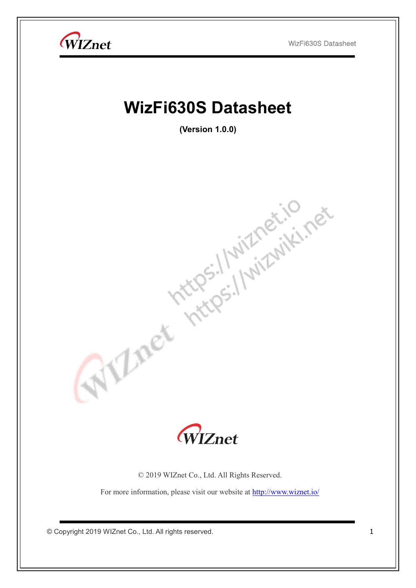

For more information, please visit our website at<http://www.wiznet.io/>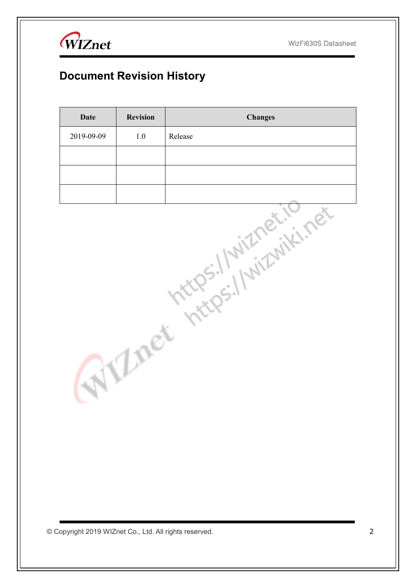

WIZnet

# **Document Revision History**

| <b>Date</b> | <b>Revision</b> | <b>Changes</b>         |
|-------------|-----------------|------------------------|
| 2019-09-09  | $1.0\,$         | Release                |
|             |                 |                        |
|             |                 |                        |
|             |                 |                        |
|             | Lne             | Interes: I witheriting |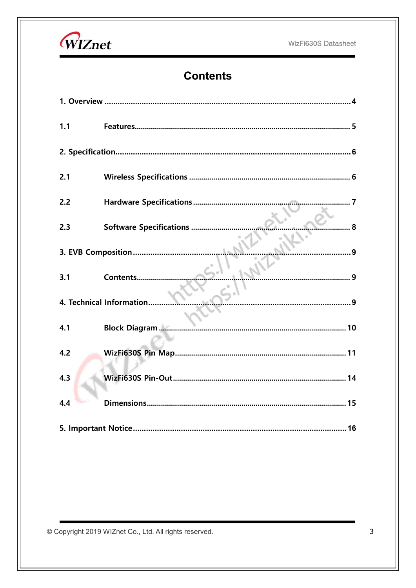



# **Contents**

| 1.1 |                              |
|-----|------------------------------|
|     |                              |
| 2.1 |                              |
| 2.2 | . 7                          |
| 2.3 | 8<br>Software Specifications |
|     |                              |
| 3.1 | Contents                     |
|     | 4. Technical Information     |
| 4.1 | <b>Block Diagram </b>        |
| 4.2 |                              |
| 4.3 |                              |
| 4.4 |                              |
|     |                              |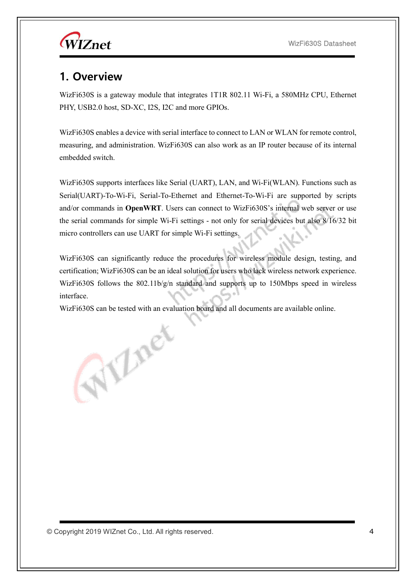WIZnet

#### <span id="page-3-0"></span>**1. Overview**

WizFi630S is a gateway module that integrates 1T1R 802.11 Wi-Fi, a 580MHz CPU, Ethernet PHY, USB2.0 host, SD-XC, I2S, I2C and more GPIOs.

WizFi630S enables a device with serial interface to connect to LAN or WLAN for remote control, measuring, and administration. WizFi630S can also work as an IP router because of its internal embedded switch.

WizFi630S supports interfaces like Serial (UART), LAN, and Wi-Fi(WLAN). Functions such as Serial(UART)-To-Wi-Fi, Serial-To-Ethernet and Ethernet-To-Wi-Fi are supported by scripts and/or commands in **OpenWRT**. Users can connect to WizFi630S's internal web server or use the serial commands for simple Wi-Fi settings - not only for serial devices but also 8/16/32 bit micro controllers can use UART for simple Wi-Fi settings.

WizFi630S can significantly reduce the procedures for wireless module design, testing, and certification; WizFi630S can be an ideal solution for users who lack wireless network experience. WizFi630S follows the  $802.11b/g/n$  standard and supports up to 150Mbps speed in wireless interface.

WizFi630S can be tested with an evaluation board and all documents are available online.

Allnet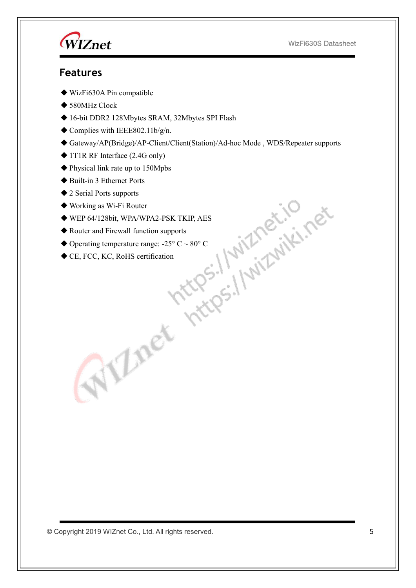WIZnet

#### <span id="page-4-0"></span>**Features**

- ◆ WizFi630A Pin compatible
- ◆ 580MHz Clock
- ◆ 16-bit DDR2 128Mbytes SRAM, 32Mbytes SPI Flash
- $\blacklozenge$  Complies with IEEE802.11b/g/n.
- ◆ Gateway/AP(Bridge)/AP-Client/Client(Station)/Ad-hoc Mode , WDS/Repeater supports
- ◆ 1T1R RF Interface (2.4G only)
- ◆ Physical link rate up to 150Mpbs
- ◆ Built-in 3 Ethernet Ports
- ◆ 2 Serial Ports supports
- ◆ Working as Wi-Fi Router
- ◆ WEP 64/128bit, WPA/WPA2-PSK TKIP, AES
- ◆ Router and Firewall function supports
- $\blacklozenge$  Operating temperature range: -25° C ~ 80° C
- ◆ CE, FCC, KC, RoHS certification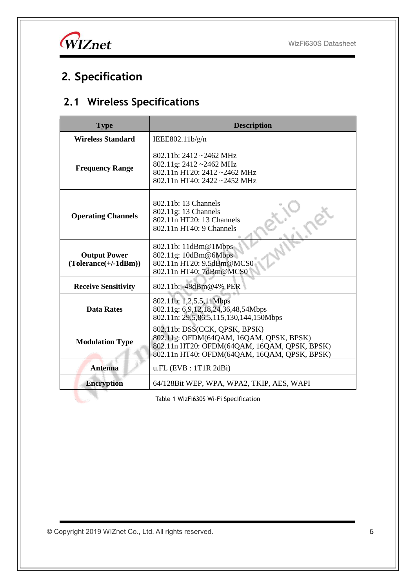

# <span id="page-5-0"></span>**2. Specification**

# <span id="page-5-1"></span>**2.1 Wireless Specifications**

| <b>Type</b>                                                                                                                                           | <b>Description</b>                                                                                                                                                       |  |  |  |
|-------------------------------------------------------------------------------------------------------------------------------------------------------|--------------------------------------------------------------------------------------------------------------------------------------------------------------------------|--|--|--|
| <b>Wireless Standard</b>                                                                                                                              | IEEE802.11b/g/n                                                                                                                                                          |  |  |  |
| <b>Frequency Range</b>                                                                                                                                | 802.11b: $2412 - 2462$ MHz<br>802.11g: 2412~2462 MHz<br>802.11n HT20: 2412~2462 MHz<br>802.11n HT40: 2422~2452 MHz                                                       |  |  |  |
| <b>Operating Channels</b>                                                                                                                             | 802.11b: 13 Channels<br>802.11g: 13 Channels<br>802.11n HT20: 13 Channels<br>802.11n HT40: 9 Channels                                                                    |  |  |  |
| 802.11b: 11dBm@1Mbps<br>802.11g: 10dBm@6Mbps<br><b>Output Power</b><br>802.11n HT20: 9.5dBm@MCS0<br>$(Tolerance(+/-1dBm))$<br>802.11n HT40: 7dBm@MCS0 |                                                                                                                                                                          |  |  |  |
| <b>Receive Sensitivity</b>                                                                                                                            | 802.11b: -48dBm@4% PER                                                                                                                                                   |  |  |  |
| <b>Data Rates</b>                                                                                                                                     | 802.11b: 1,2,5.5,11Mbps<br>802.11g: 6,9,12,18,24,36,48,54Mbps<br>802.11n: 29.5,86.5,115,130,144,150Mbps                                                                  |  |  |  |
| <b>Modulation Type</b>                                                                                                                                | 802.11b: DSS(CCK, QPSK, BPSK)<br>802.11g: OFDM(64QAM, 16QAM, QPSK, BPSK)<br>802.11n HT20: OFDM(64QAM, 16QAM, QPSK, BPSK)<br>802.11n HT40: OFDM(64QAM, 16QAM, QPSK, BPSK) |  |  |  |
| <b>Antenna</b>                                                                                                                                        | $u.FL$ (EVB : 1T1R 2dBi)                                                                                                                                                 |  |  |  |
| <b>Encryption</b>                                                                                                                                     | 64/128Bit WEP, WPA, WPA2, TKIP, AES, WAPI                                                                                                                                |  |  |  |
|                                                                                                                                                       | Table 1 WizFi630S Wi-Fi Specification                                                                                                                                    |  |  |  |

Table 1 WizFi630S Wi-Fi Specification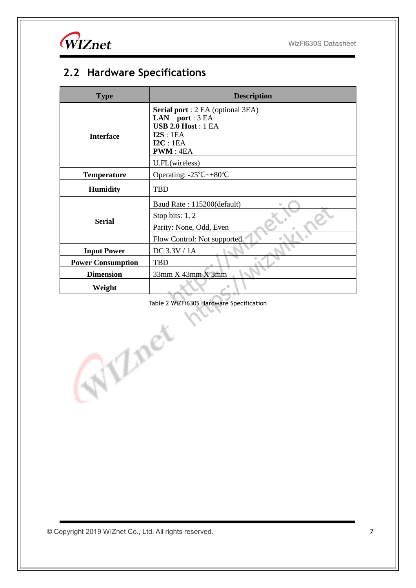WIZnet

# <span id="page-6-0"></span>**2.2 Hardware Specifications**

| <b>Type</b>              | <b>Description</b>                                                                                                        |  |  |  |  |
|--------------------------|---------------------------------------------------------------------------------------------------------------------------|--|--|--|--|
| <b>Interface</b>         | <b>Serial port</b> : 2 EA (optional 3EA)<br>LAN port: $3 EA$<br><b>USB 2.0 Host: 1 EA</b><br>I2S:1EA<br>IC:1EA<br>PWM:4EA |  |  |  |  |
| <b>Temperature</b>       | U.FL(wireless)<br>Operating: $-25^{\circ}\text{C} \rightarrow +80^{\circ}\text{C}$                                        |  |  |  |  |
| <b>Humidity</b>          | <b>TBD</b>                                                                                                                |  |  |  |  |
|                          | Baud Rate: 115200(default)                                                                                                |  |  |  |  |
|                          | Stop bits: $1, 2$                                                                                                         |  |  |  |  |
| <b>Serial</b>            | Parity: None, Odd, Even                                                                                                   |  |  |  |  |
|                          | Flow Control: Not supported                                                                                               |  |  |  |  |
| <b>Input Power</b>       | $DC$ 3.3V / 1A                                                                                                            |  |  |  |  |
| <b>Power Consumption</b> | <b>TBD</b>                                                                                                                |  |  |  |  |
| <b>Dimension</b>         | 33mm X 43mm X 3mm                                                                                                         |  |  |  |  |
| Weight                   |                                                                                                                           |  |  |  |  |

Table 2 WiZFi630S Hardware Specification

© Copyright 2019 WIZnet Co., Ltd. All rights reserved. 7

Alner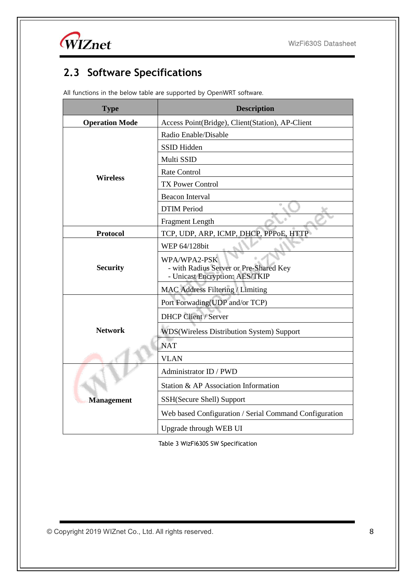WIZnet

# <span id="page-7-0"></span>**2.3 Software Specifications**

All functions in the below table are supported by OpenWRT software.

| <b>Type</b>           | <b>Description</b>                                                                       |  |  |
|-----------------------|------------------------------------------------------------------------------------------|--|--|
| <b>Operation Mode</b> | Access Point(Bridge), Client(Station), AP-Client                                         |  |  |
|                       | Radio Enable/Disable                                                                     |  |  |
|                       | SSID Hidden                                                                              |  |  |
|                       | Multi SSID                                                                               |  |  |
| <b>Wireless</b>       | Rate Control                                                                             |  |  |
|                       | <b>TX Power Control</b>                                                                  |  |  |
|                       | <b>Beacon Interval</b>                                                                   |  |  |
|                       | <b>DTIM Period</b>                                                                       |  |  |
|                       | Fragment Length                                                                          |  |  |
| <b>Protocol</b>       | TCP, UDP, ARP, ICMP, DHCP, PPPoE, HTTP                                                   |  |  |
| <b>Security</b>       | WEP 64/128bit                                                                            |  |  |
|                       | WPA/WPA2-PSK<br>- with Radius Server or Pre-Shared Key<br>- Unicast Encryption: AES/TKIP |  |  |
|                       | <b>MAC Address Filtering / Limiting</b>                                                  |  |  |
|                       | Port Forwading(UDP and/or TCP)                                                           |  |  |
|                       | <b>DHCP Client / Server</b>                                                              |  |  |
| <b>Network</b>        | WDS(Wireless Distribution System) Support                                                |  |  |
|                       | <b>NAT</b>                                                                               |  |  |
|                       | <b>VLAN</b>                                                                              |  |  |
|                       | Administrator ID / PWD                                                                   |  |  |
|                       | Station & AP Association Information                                                     |  |  |
| <b>Management</b>     | SSH(Secure Shell) Support                                                                |  |  |
|                       | Web based Configuration / Serial Command Configuration                                   |  |  |
|                       | Upgrade through WEB UI                                                                   |  |  |

Table 3 WizFi630S SW Specification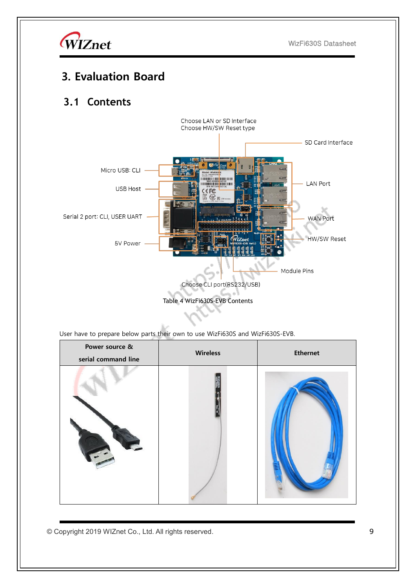

# <span id="page-8-0"></span>**3. Evaluation Board**

#### <span id="page-8-1"></span>**3.1 Contents**



<span id="page-8-2"></span>User have to prepare below parts their own to use WizFi630S and WizFi630S-EVB.

| Power source &<br>serial command line | <b>Wireless</b> | <b>Ethernet</b> |
|---------------------------------------|-----------------|-----------------|
|                                       |                 |                 |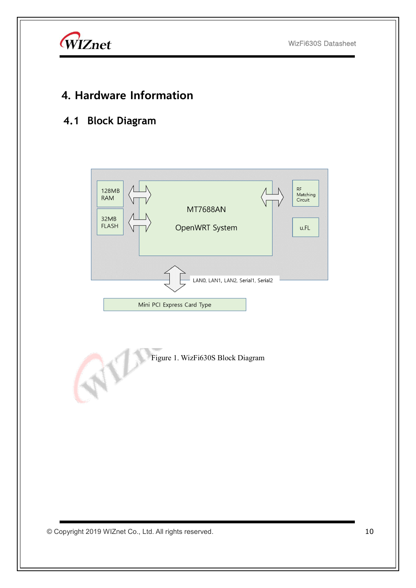

## **4. Hardware Information**

### <span id="page-9-0"></span>**4.1 Block Diagram**

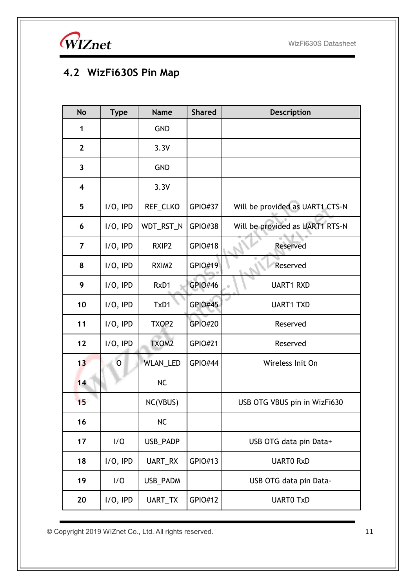WIZnet

# <span id="page-10-0"></span>**4.2 WizFi630S Pin Map**

| <b>No</b>               | <b>Type</b>    | <b>Name</b>       | <b>Shared</b>  | <b>Description</b>              |
|-------------------------|----------------|-------------------|----------------|---------------------------------|
| 1                       |                | <b>GND</b>        |                |                                 |
| $\mathbf{2}$            |                | 3.3V              |                |                                 |
| 3                       |                | <b>GND</b>        |                |                                 |
| $\overline{\mathbf{4}}$ |                | 3.3V              |                |                                 |
| 5                       | $I/O$ , IPD    | REF_CLKO          | <b>GPIO#37</b> | Will be provided as UART1 CTS-N |
| 6                       | $I/O$ , IPD    | WDT_RST_N         | <b>GPIO#38</b> | Will be provided as UART1 RTS-N |
| $\overline{7}$          | $I/O$ , IPD    | RXIP2             | <b>GPIO#18</b> | Reserved                        |
| 8                       | $I/O$ , IPD    | RXIM <sub>2</sub> | GPIO#19        | Reserved                        |
| 9                       | $I/O$ , IPD    | RxD1              | <b>GPIO#46</b> | <b>UART1 RXD</b>                |
| 10                      | $I/O$ , IPD    | TxD1              | <b>GPIO#45</b> | <b>UART1 TXD</b>                |
| 11                      | $I/O$ , IPD    | TXOP2             | <b>GPIO#20</b> | Reserved                        |
| 12                      | $I/O$ , IPD    | TXOM2             | <b>GPIO#21</b> | Reserved                        |
| 13                      | $\overline{O}$ | <b>WLAN_LED</b>   | <b>GPIO#44</b> | Wireless Init On                |
| 14                      |                | <b>NC</b>         |                |                                 |
| 15                      |                | NC(VBUS)          |                | USB OTG VBUS pin in WizFi630    |
| 16                      |                | <b>NC</b>         |                |                                 |
| 17                      | 1/0            | USB_PADP          |                | USB OTG data pin Data+          |
| 18                      | $I/O$ , IPD    | UART_RX           | GPIO#13        | <b>UARTO RxD</b>                |
| 19                      | 1/0            | USB_PADM          |                | USB OTG data pin Data-          |
| 20                      | $I/O$ , IPD    | UART_TX           | GPIO#12        | <b>UARTO TxD</b>                |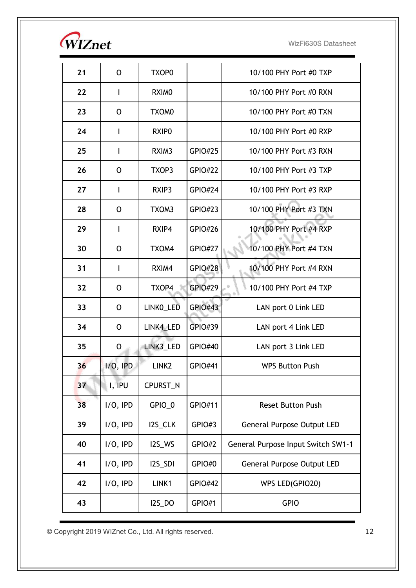| <i><b>WIZnet</b></i> |
|----------------------|
|                      |

| 21 | O           | TXOP0             |                | 10/100 PHY Port #0 TXP             |
|----|-------------|-------------------|----------------|------------------------------------|
| 22 | I           | RXIM <sub>0</sub> |                | 10/100 PHY Port #0 RXN             |
| 23 | O           | TXOM0             |                | 10/100 PHY Port #0 TXN             |
| 24 | I           | RXIP <sub>0</sub> |                | 10/100 PHY Port #0 RXP             |
| 25 | L           | RXIM <sub>3</sub> | <b>GPIO#25</b> | 10/100 PHY Port #3 RXN             |
| 26 | O           | TXOP3             | <b>GPIO#22</b> | 10/100 PHY Port #3 TXP             |
| 27 | I           | RXIP3             | <b>GPIO#24</b> | 10/100 PHY Port #3 RXP             |
| 28 | 0           | TXOM3             | <b>GPIO#23</b> | 10/100 PHY Port #3 TXN             |
| 29 | L           | RXIP4             | <b>GPIO#26</b> | 10/100 PHY Port #4 RXP             |
| 30 | O           | TXOM4             | <b>GPIO#27</b> | 10/100 PHY Port #4 TXN             |
| 31 | I           | RXIM4             | <b>GPIO#28</b> | 10/100 PHY Port #4 RXN             |
| 32 | O           | TXOP4             | <b>GPIO#29</b> | 10/100 PHY Port #4 TXP             |
| 33 | O           | LINKO_LED         | <b>GPIO#43</b> | LAN port 0 Link LED                |
| 34 | O           | LINK4_LED         | GPIO#39        | LAN port 4 Link LED                |
| 35 | O           | LINK3 LED         | GPIO#40        | LAN port 3 Link LED                |
| 36 | $I/O$ , IPD | LINK <sub>2</sub> | GPIO#41        | <b>WPS Button Push</b>             |
| 37 | I, IPU      | CPURST_N          |                |                                    |
| 38 | $I/O$ , IPD | GPIO_0            | GPIO#11        | <b>Reset Button Push</b>           |
| 39 | $I/O$ , IPD | I2S_CLK           | GPIO#3         | <b>General Purpose Output LED</b>  |
| 40 | $I/O$ , IPD | I2S_WS            | GPIO#2         | General Purpose Input Switch SW1-1 |
| 41 | $I/O$ , IPD | I2S_SDI           | GPIO#0         | <b>General Purpose Output LED</b>  |
| 42 | $I/O$ , IPD | LINK1             | <b>GPIO#42</b> | WPS LED(GPIO20)                    |
| 43 |             | <b>I2S_DO</b>     | GPIO#1         | <b>GPIO</b>                        |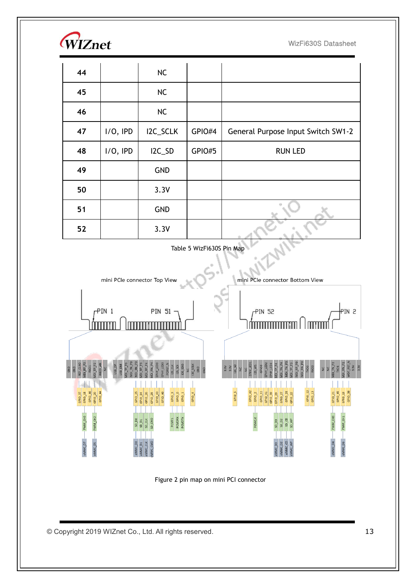

| 44 |             | NC         |        |                                    |
|----|-------------|------------|--------|------------------------------------|
| 45 |             | NC         |        |                                    |
| 46 |             | NC         |        |                                    |
| 47 | $I/O$ , IPD | I2C_SCLK   | GPIO#4 | General Purpose Input Switch SW1-2 |
| 48 | $I/O$ , IPD | I2C_SD     | GPIO#5 | <b>RUN LED</b>                     |
| 49 |             | <b>GND</b> |        |                                    |
| 50 |             | 3.3V       |        |                                    |
| 51 |             | <b>GND</b> |        |                                    |
| 52 |             | 3.3V       |        |                                    |





Figure 2 pin map on mini PCI connector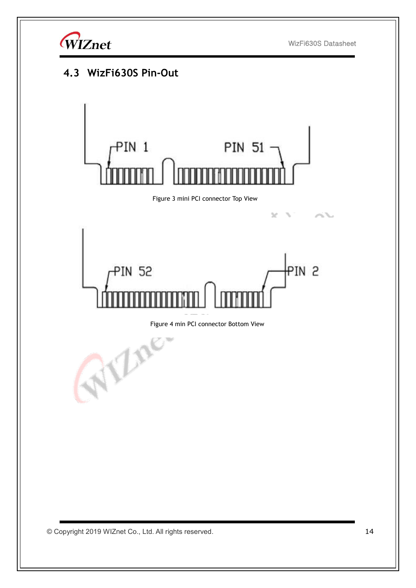

# <span id="page-13-0"></span>**4.3 WizFi630S Pin-Out** PIN 1 **PIN 51** Figure 3 mini PCI connector Top View× PIN<sub>2</sub> **PIN 52** Figure 4 min PCI connector Bottom View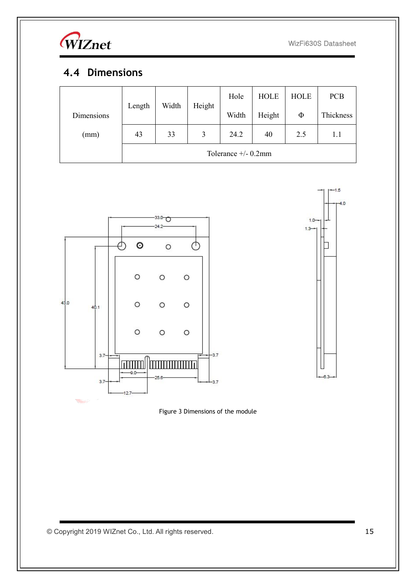

#### <span id="page-14-0"></span>**4.4 Dimensions**

|            |                        |       |        | Hole  | <b>HOLE</b> | <b>HOLE</b> | <b>PCB</b> |
|------------|------------------------|-------|--------|-------|-------------|-------------|------------|
| Dimensions | Length                 | Width | Height | Width | Height      | Φ           | Thickness  |
| (mm)       | 43                     | 33    | 3      | 24.2  | 40          | 2.5         | 1.1        |
|            | Tolerance $+/- 0.2$ mm |       |        |       |             |             |            |





Figure 3 Dimensions of the module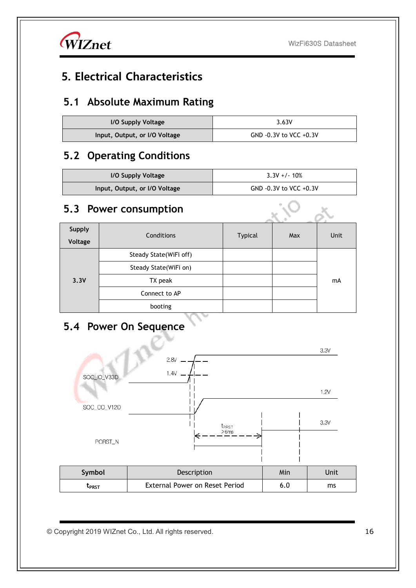$\times$  O/  $\cdot$ 

WIZnet

# <span id="page-15-0"></span>**5. Electrical Characteristics**

### **5.1 Absolute Maximum Rating**

| I/O Supply Voltage            | 3.63V                  |  |  |
|-------------------------------|------------------------|--|--|
| Input, Output, or I/O Voltage | GND -0.3V to VCC +0.3V |  |  |

#### **5.2 Operating Conditions**

| I/O Supply Voltage            | $3.3V + 1.10%$         |  |
|-------------------------------|------------------------|--|
| Input, Output, or I/O Voltage | GND -0.3V to VCC +0.3V |  |

#### **5.3 Power consumption**

| Supply  | Conditions             | <b>Typical</b> | Max | Unit |
|---------|------------------------|----------------|-----|------|
| Voltage |                        |                |     |      |
| 3.3V    | Steady State(WiFi off) |                |     | mA   |
|         | Steady State(WiFi on)  |                |     |      |
|         | TX peak                |                |     |      |
|         | Connect to AP          |                |     |      |
|         | booting                |                |     |      |

# **5.4 Power On Sequence**